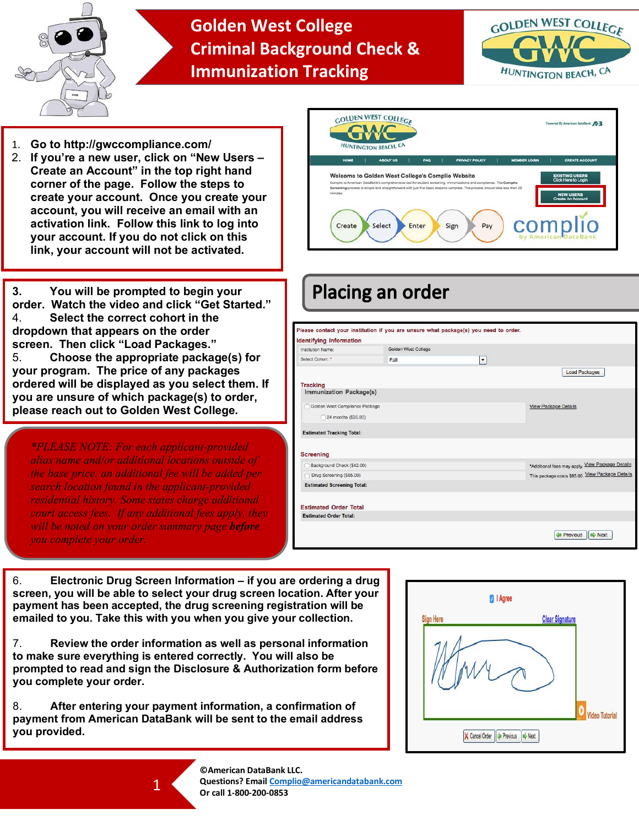

## **Golden West College Criminal Background Check & Immunization Tracking**



- 1. **Go to http://gwccompliance.com/**
- 2. **If you're a new user, click on "New Users – Create an Account" in the top right hand corner of the page. Follow the steps to create your account. Once you create your account, you will receive an email with an activation link. Follow this link to log into your account. If you do not click on this link, your account will not be activated.**



**3. You will be prompted to begin your order. Watch the video and click "Get Started."**  4. **Select the correct cohort in the dropdown that appears on the order screen. Then click "Load Packages."** 5. **Choose the appropriate package(s) for your program. The price of any packages ordered will be displayed as you select them. If you are unsure of which package(s) to order, please reach out to Golden West College.**

*\*PLEASE NOTE: For each applicant-provided alias name and/or additional locations outside of the base price, an additional fee will be added per search location found in the applicant-provided residential history. Some states charge additional court access fees. If any additional fees apply, they will be noted on your order summary page before you complete your order.*



| Institution Name:                                             | Golden West College |                     |                                                  |
|---------------------------------------------------------------|---------------------|---------------------|--------------------------------------------------|
| Select Cohort: *                                              | Fall                | $\vert \cdot \vert$ |                                                  |
|                                                               |                     |                     | <b>Load Packages</b>                             |
| <b>Tracking</b>                                               |                     |                     |                                                  |
| <b>Immunization Package(s)</b>                                |                     |                     |                                                  |
| Golden West Compliance Package                                |                     |                     | <b>View Package Details</b>                      |
| 24 months (\$35.00)                                           |                     |                     |                                                  |
|                                                               |                     |                     |                                                  |
| <b>Estimated Tracking Total:</b>                              |                     |                     |                                                  |
|                                                               |                     |                     |                                                  |
| <b>Screening</b>                                              |                     |                     |                                                  |
| Background Check (\$42.00)                                    |                     |                     | *Additional fees may apply. View Package Details |
| Drug Screening (\$65.00)                                      |                     |                     | This package costs \$65.00. View Package Details |
|                                                               |                     |                     |                                                  |
| <b>Estimated Screening Total:</b>                             |                     |                     |                                                  |
|                                                               |                     |                     |                                                  |
|                                                               |                     |                     |                                                  |
| <b>Estimated Order Total</b><br><b>Estimated Order Total:</b> |                     |                     |                                                  |

6. **Electronic Drug Screen Information – if you are ordering a drug screen, you will be able to select your drug screen location. After your payment has been accepted, the drug screening registration will be emailed to you. Take this with you when you give your collection.**

7. **Review the order information as well as personal information to make sure everything is entered correctly. You will also be prompted to read and sign the Disclosure & Authorization form before you complete your order.**

8. **After entering your payment information, a confirmation of payment from American DataBank will be sent to the email address you provided.**



**©American DataBank LLC. Questions? Email Complio@americandatabank.com Or call 1-800-200-0853**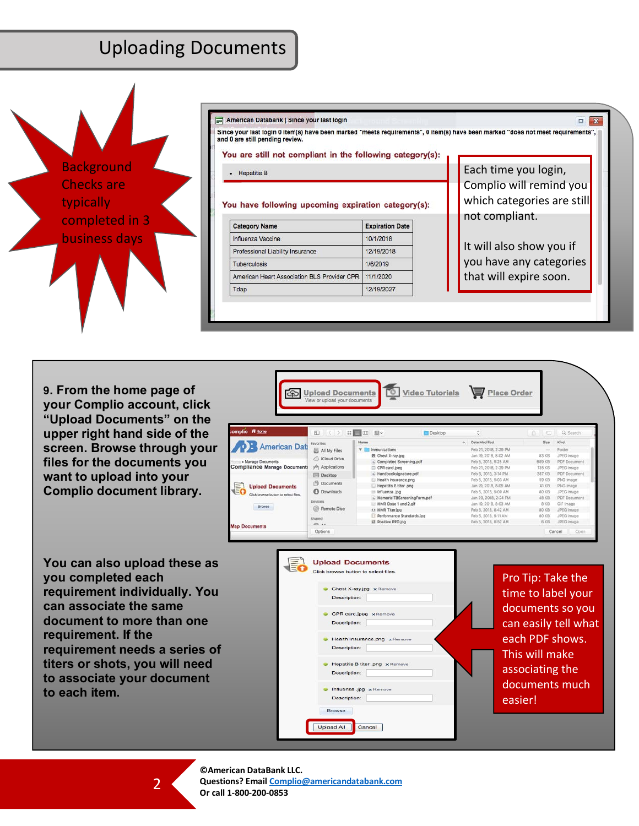## Uploading Documents



**9. From the home page of your Complio account, click "Upload Documents" on the upper right hand side of the screen. Browse through your files for the documents you want to upload into your Complio document library.**

**You can also upload these as you completed each requirement individually. You can associate the same document to more than one requirement. If the requirement needs a series of titers or shots, you will need to associate your document to each item.**





**©American DataBank LLC. Questions? Email Complio@americandatabank.com Or call 1-800-200-0853**

 $\mathcal{P}$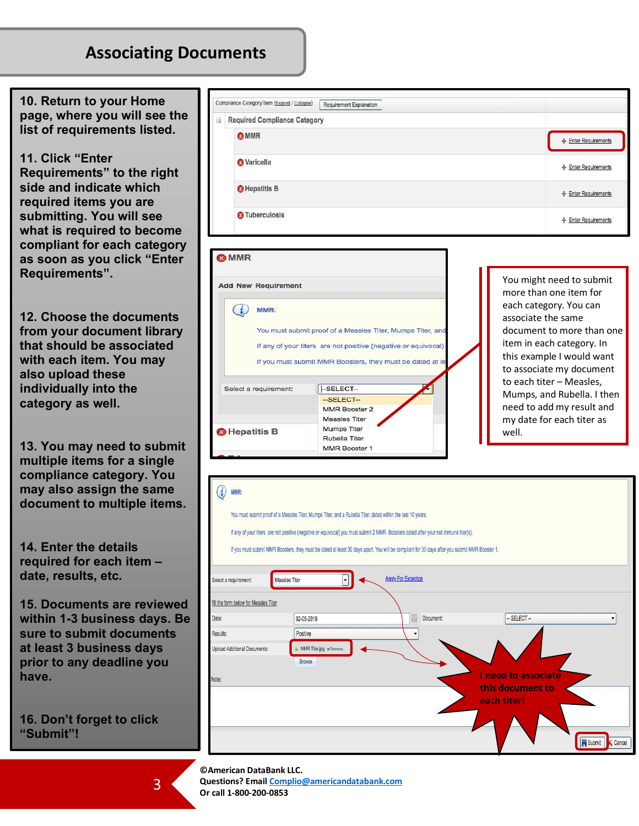## **Associating Documents**

**10. Return to your Home page, where you will see the list of requirements listed.** 

**11. Click "Enter** 

**Requirements" to the right side and indicate which required items you are submitting. You will see what is required to become compliant for each category as soon as you click "Enter Requirements".**

**12. Choose the documents from your document library that should be associated with each item. You may also upload these individually into the category as well.**

**13. You may need to submit multiple items for a single compliance category. You may also assign the same document to multiple items.** 

**14. Enter the details required for each item – date, results, etc.**

**15. Documents are reviewed within 1-3 business days. Be sure to submit documents at least 3 business days prior to any deadline you have.**

**16. Don't forget to click "Submit"!**

| <b>Required Compliance Category</b> |                      |
|-------------------------------------|----------------------|
| <b>O</b> MMR                        | + Enter Requirements |
| <b>&amp; Varicella</b>              | + Enter Requirements |
| <b>O</b> Hepatitis B                | + Enter Requirements |
| <b>2</b> Tuberculosis               | - Enter Requirements |



You might need to submit more than one item for each category. You can associate the same document to more than one item in each category. In this example I would want to associate my document to each titer – Measles, Mumps, and Rubella. I then need to add my result and my date for each titer as well.

| MMR:                                                                                                                                                                                                                                                                                                                                                                                                |                                  |                                    |                                 |  |  |  |  |  |
|-----------------------------------------------------------------------------------------------------------------------------------------------------------------------------------------------------------------------------------------------------------------------------------------------------------------------------------------------------------------------------------------------------|----------------------------------|------------------------------------|---------------------------------|--|--|--|--|--|
| You must submit proof of a Measles Titer, Mumps Titer, and a Rubella Titer, dated within the last 10 years.<br>If any of your titers are not positive (negative or equivocal) you must submit 2 MMR Boosters dated after your not immune titer(s).<br>If you must submit MMR Boosters, they must be dated at least 30 days apart. You will be compliant for 30 days after you submit MMR Booster 1. |                                  |                                    |                                 |  |  |  |  |  |
| <b>Apply For Exception</b><br>Measles Titer<br>Select a requirement:                                                                                                                                                                                                                                                                                                                                |                                  |                                    |                                 |  |  |  |  |  |
| fill the form below for Measles Titer                                                                                                                                                                                                                                                                                                                                                               |                                  |                                    |                                 |  |  |  |  |  |
| Date:                                                                                                                                                                                                                                                                                                                                                                                               | 02-05-2018                       | $\overline{\boxplus}$<br>Document: | $-$ SELECT $-$                  |  |  |  |  |  |
| Results:                                                                                                                                                                                                                                                                                                                                                                                            | Positive                         |                                    |                                 |  |  |  |  |  |
| Upload Additional Documents:                                                                                                                                                                                                                                                                                                                                                                        | MMR Titer.jpg x Remove<br>Browse |                                    |                                 |  |  |  |  |  |
| Note:                                                                                                                                                                                                                                                                                                                                                                                               |                                  |                                    | I need to associate             |  |  |  |  |  |
|                                                                                                                                                                                                                                                                                                                                                                                                     |                                  |                                    | this document to<br>each titer! |  |  |  |  |  |
|                                                                                                                                                                                                                                                                                                                                                                                                     |                                  |                                    |                                 |  |  |  |  |  |
|                                                                                                                                                                                                                                                                                                                                                                                                     |                                  |                                    |                                 |  |  |  |  |  |
|                                                                                                                                                                                                                                                                                                                                                                                                     |                                  |                                    | Submit<br>Cancel                |  |  |  |  |  |

**©American DataBank LLC. Questions? Email Complio@americandatabank.com Or call 1-800-200-0853**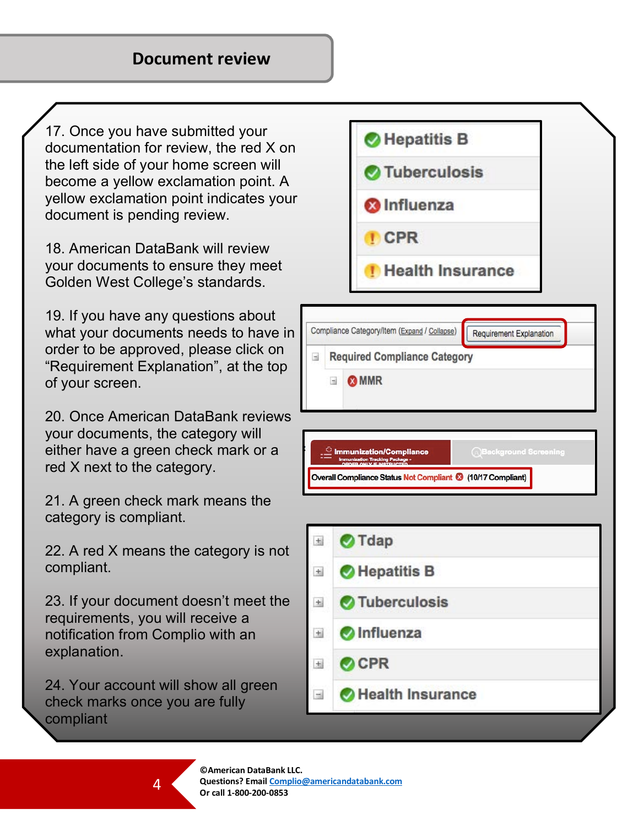17. Once you have submitted your documentation for review, the red X on the left side of your home screen will become a yellow exclamation point. A yellow exclamation point indicates your document is pending review.

18. American DataBank will review your documents to ensure they meet Golden West College's standards.

19. If you have any questions about what your documents needs to have in order to be approved, please click on "Requirement Explanation", at the top of your screen.

20. Once American DataBank reviews your documents, the category will either have a green check mark or a red X next to the category.

21. A green check mark means the category is compliant.

22. A red X means the category is not compliant.

23. If your document doesn't meet the requirements, you will receive a notification from Complio with an explanation.

24. Your account will show all green check marks once you are fully compliant